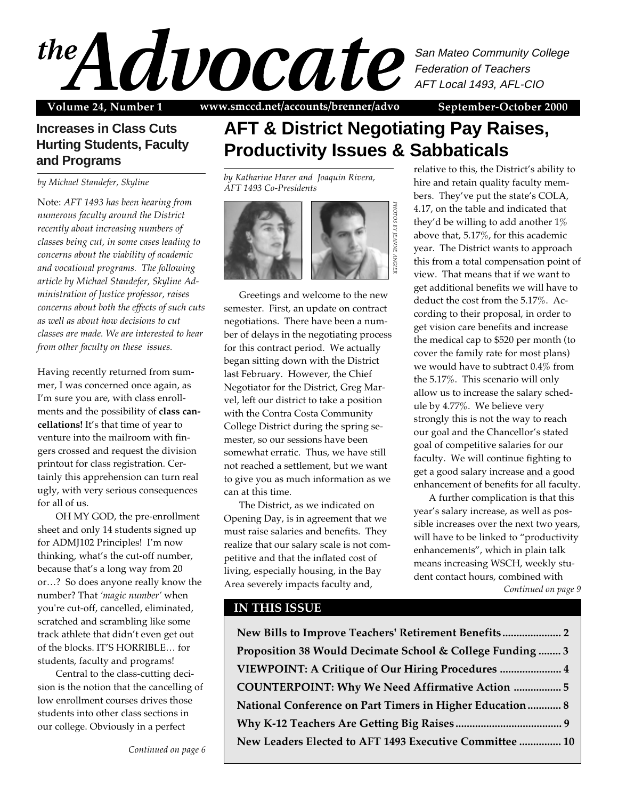

Volume 24, Number 1 www.smccd.net/accounts/brenner/advo September-October 2000

## **Increases in Class Cuts Hurting Students, Faculty and Programs**

*by Michael Standefer, Skyline*

Note: *AFT 1493 has been hearing from numerous faculty around the District recently about increasing numbers of classes being cut, in some cases leading to concerns about the viability of academic and vocational programs. The following article by Michael Standefer, Skyline Administration of Justice professor, raises concerns about both the effects of such cuts as well as about how decisions to cut classes are made. We are interested to hear from other faculty on these issues.*

Having recently returned from summer, I was concerned once again, as I'm sure you are, with class enrollments and the possibility of **class cancellations!** It's that time of year to venture into the mailroom with fingers crossed and request the division printout for class registration. Certainly this apprehension can turn real ugly, with very serious consequences for all of us.

OH MY GOD, the pre-enrollment sheet and only 14 students signed up for ADMJ102 Principles! I'm now thinking, what's the cut-off number, because that's a long way from 20 or…? So does anyone really know the number? That *'magic number'* when you're cut-off, cancelled, eliminated, scratched and scrambling like some track athlete that didn't even get out of the blocks. IT'S HORRIBLE… for students, faculty and programs!

Central to the class-cutting decision is the notion that the cancelling of low enrollment courses drives those students into other class sections in our college. Obviously in a perfect

*Continued on page 6*

# **AFT & District Negotiating Pay Raises, Productivity Issues & Sabbaticals**

*by Katharine Harer and Joaquin Rivera, AFT 1493 Co-Presidents*



Greetings and welcome to the new semester. First, an update on contract negotiations. There have been a number of delays in the negotiating process for this contract period. We actually began sitting down with the District last February. However, the Chief Negotiator for the District, Greg Marvel, left our district to take a position with the Contra Costa Community College District during the spring semester, so our sessions have been somewhat erratic. Thus, we have still not reached a settlement, but we want to give you as much information as we can at this time.

The District, as we indicated on Opening Day, is in agreement that we must raise salaries and benefits. They realize that our salary scale is not competitive and that the inflated cost of living, especially housing, in the Bay Area severely impacts faculty and,

### relative to this, the District's ability to hire and retain quality faculty members. They've put the state's COLA, 4.17, on the table and indicated that they'd be willing to add another  $1\%$ above that, 5.17%, for this academic year. The District wants to approach this from a total compensation point of view. That means that if we want to get additional benefits we will have to deduct the cost from the 5.17%. According to their proposal, in order to get vision care benefits and increase the medical cap to \$520 per month (to cover the family rate for most plans) we would have to subtract 0.4% from the 5.17%. This scenario will only allow us to increase the salary schedule by 4.77%. We believe very strongly this is not the way to reach our goal and the Chancellor's stated goal of competitive salaries for our faculty. We will continue fighting to get a good salary increase and a good enhancement of benefits for all faculty.

A further complication is that this year's salary increase, as well as possible increases over the next two years, will have to be linked to "productivity enhancements", which in plain talk means increasing WSCH, weekly student contact hours, combined with *Continued on page 9*

### **IN THIS ISSUE**

**New Bills to Improve Teachers' Retirement Benefits..................... 2 Proposition 38 Would Decimate School & College Funding ........ 3 VIEWPOINT: A Critique of Our Hiring Procedures ...................... 4 COUNTERPOINT: Why We Need Affirmative Action ................. 5 National Conference on Part Timers in Higher Education............ 8 Why K-12 Teachers Are Getting Big Raises ...................................... 9 New Leaders Elected to AFT 1493 Executive Committee ............... 10**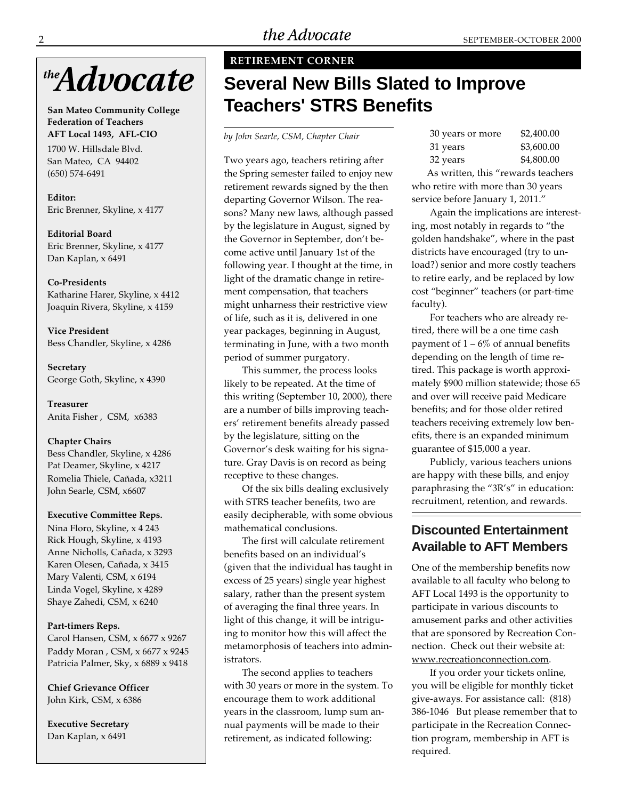

**San Mateo Community College Federation of Teachers AFT Local 1493, AFL-CIO**

1700 W. Hillsdale Blvd. San Mateo, CA 94402 (650) 574-6491

**Editor:** Eric Brenner, Skyline, x 4177

**Editorial Board** Eric Brenner, Skyline, x 4177 Dan Kaplan, x 6491

#### **Co-Presidents**

Katharine Harer, Skyline, x 4412 Joaquin Rivera, Skyline, x 4159

**Vice President** Bess Chandler, Skyline, x 4286

**Secretary** George Goth, Skyline, x 4390

**Treasurer** Anita Fisher , CSM, x6383

#### **Chapter Chairs**

Bess Chandler, Skyline, x 4286 Pat Deamer, Skyline, x 4217 Romelia Thiele, Cañada, x3211 John Searle, CSM, x6607

#### **Executive Committee Reps.**

Nina Floro, Skyline, x 4 243 Rick Hough, Skyline, x 4193 Anne Nicholls, Cañada, x 3293 Karen Olesen, Cañada, x 3415 Mary Valenti, CSM, x 6194 Linda Vogel, Skyline, x 4289 Shaye Zahedi, CSM, x 6240

#### **Part-timers Reps.**

Carol Hansen, CSM, x 6677 x 9267 Paddy Moran , CSM, x 6677 x 9245 Patricia Palmer, Sky, x 6889 x 9418

**Chief Grievance Officer** John Kirk, CSM, x 6386

**Executive Secretary** Dan Kaplan, x 6491

### **RETIREMENT CORNER**

# **Several New Bills Slated to Improve Teachers' STRS Benefits**

*by John Searle, CSM, Chapter Chair*

Two years ago, teachers retiring after the Spring semester failed to enjoy new retirement rewards signed by the then departing Governor Wilson. The reasons? Many new laws, although passed by the legislature in August, signed by the Governor in September, don't become active until January 1st of the following year. I thought at the time, in light of the dramatic change in retirement compensation, that teachers might unharness their restrictive view of life, such as it is, delivered in one year packages, beginning in August, terminating in June, with a two month period of summer purgatory.

This summer, the process looks likely to be repeated. At the time of this writing (September 10, 2000), there are a number of bills improving teachers' retirement benefits already passed by the legislature, sitting on the Governor's desk waiting for his signature. Gray Davis is on record as being receptive to these changes.

Of the six bills dealing exclusively with STRS teacher benefits, two are easily decipherable, with some obvious mathematical conclusions.

The first will calculate retirement benefits based on an individual's (given that the individual has taught in excess of 25 years) single year highest salary, rather than the present system of averaging the final three years. In light of this change, it will be intriguing to monitor how this will affect the metamorphosis of teachers into administrators.

The second applies to teachers with 30 years or more in the system. To encourage them to work additional years in the classroom, lump sum annual payments will be made to their retirement, as indicated following:

| 30 years or more | \$2,400.00 |
|------------------|------------|
| 31 years         | \$3,600.00 |
| 32 years         | \$4,800.00 |

As written, this "rewards teachers who retire with more than 30 years service before January 1, 2011."

Again the implications are interesting, most notably in regards to "the golden handshake", where in the past districts have encouraged (try to unload?) senior and more costly teachers to retire early, and be replaced by low cost "beginner" teachers (or part-time faculty).

For teachers who are already retired, there will be a one time cash payment of  $1 - 6\%$  of annual benefits depending on the length of time retired. This package is worth approximately \$900 million statewide; those 65 and over will receive paid Medicare benefits; and for those older retired teachers receiving extremely low benefits, there is an expanded minimum guarantee of \$15,000 a year.

Publicly, various teachers unions are happy with these bills, and enjoy paraphrasing the "3R's" in education: recruitment, retention, and rewards.

## **Discounted Entertainment Available to AFT Members**

One of the membership benefits now available to all faculty who belong to AFT Local 1493 is the opportunity to participate in various discounts to amusement parks and other activities that are sponsored by Recreation Connection. Check out their website at: www.recreationconnection.com.

If you order your tickets online, you will be eligible for monthly ticket give-aways. For assistance call: (818) 386-1046 But please remember that to participate in the Recreation Connection program, membership in AFT is required.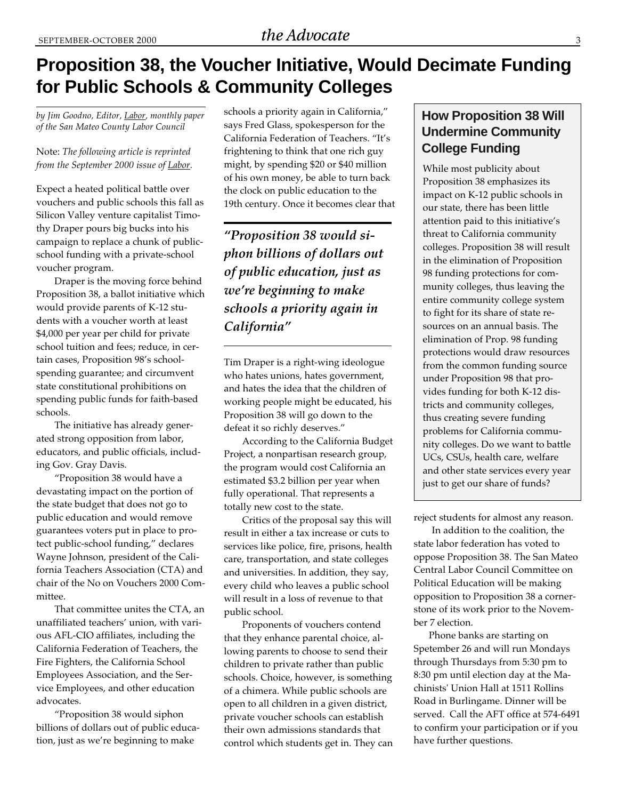# **Proposition 38, the Voucher Initiative, Would Decimate Funding for Public Schools & Community Colleges**

*by Jim Goodno, Editor, Labor, monthly paper of the San Mateo County Labor Council*

#### Note: *The following article is reprinted from the September 2000 issue of Labor.*

Expect a heated political battle over vouchers and public schools this fall as Silicon Valley venture capitalist Timothy Draper pours big bucks into his campaign to replace a chunk of publicschool funding with a private-school voucher program.

Draper is the moving force behind Proposition 38, a ballot initiative which would provide parents of K-12 students with a voucher worth at least \$4,000 per year per child for private school tuition and fees; reduce, in certain cases, Proposition 98's schoolspending guarantee; and circumvent state constitutional prohibitions on spending public funds for faith-based schools.

The initiative has already generated strong opposition from labor, educators, and public officials, including Gov. Gray Davis.

"Proposition 38 would have a devastating impact on the portion of the state budget that does not go to public education and would remove guarantees voters put in place to protect public-school funding," declares Wayne Johnson, president of the California Teachers Association (CTA) and chair of the No on Vouchers 2000 Committee.

That committee unites the CTA, an unaffiliated teachers' union, with various AFL-CIO affiliates, including the California Federation of Teachers, the Fire Fighters, the California School Employees Association, and the Service Employees, and other education advocates.

"Proposition 38 would siphon billions of dollars out of public education, just as we're beginning to make

schools a priority again in California," says Fred Glass, spokesperson for the California Federation of Teachers. "It's frightening to think that one rich guy might, by spending \$20 or \$40 million of his own money, be able to turn back the clock on public education to the 19th century. Once it becomes clear that

*"Proposition 38 would siphon billions of dollars out of public education, just as we're beginning to make schools a priority again in California"*

Tim Draper is a right-wing ideologue who hates unions, hates government, and hates the idea that the children of working people might be educated, his Proposition 38 will go down to the defeat it so richly deserves."

According to the California Budget Project, a nonpartisan research group, the program would cost California an estimated \$3.2 billion per year when fully operational. That represents a totally new cost to the state.

Critics of the proposal say this will result in either a tax increase or cuts to services like police, fire, prisons, health care, transportation, and state colleges and universities. In addition, they say, every child who leaves a public school will result in a loss of revenue to that public school.

Proponents of vouchers contend that they enhance parental choice, allowing parents to choose to send their children to private rather than public schools. Choice, however, is something of a chimera. While public schools are open to all children in a given district, private voucher schools can establish their own admissions standards that control which students get in. They can

## **How Proposition 38 Will Undermine Community College Funding**

While most publicity about Proposition 38 emphasizes its impact on K-12 public schools in our state, there has been little attention paid to this initiative's threat to California community colleges. Proposition 38 will result in the elimination of Proposition 98 funding protections for community colleges, thus leaving the entire community college system to fight for its share of state resources on an annual basis. The elimination of Prop. 98 funding protections would draw resources from the common funding source under Proposition 98 that provides funding for both K-12 districts and community colleges, thus creating severe funding problems for California community colleges. Do we want to battle UCs, CSUs, health care, welfare and other state services every year just to get our share of funds?

reject students for almost any reason.

In addition to the coalition, the state labor federation has voted to oppose Proposition 38. The San Mateo Central Labor Council Committee on Political Education will be making opposition to Proposition 38 a cornerstone of its work prior to the November 7 election.

Phone banks are starting on Spetember 26 and will run Mondays through Thursdays from 5:30 pm to 8:30 pm until election day at the Machinists' Union Hall at 1511 Rollins Road in Burlingame. Dinner will be served. Call the AFT office at 574-6491 to confirm your participation or if you have further questions.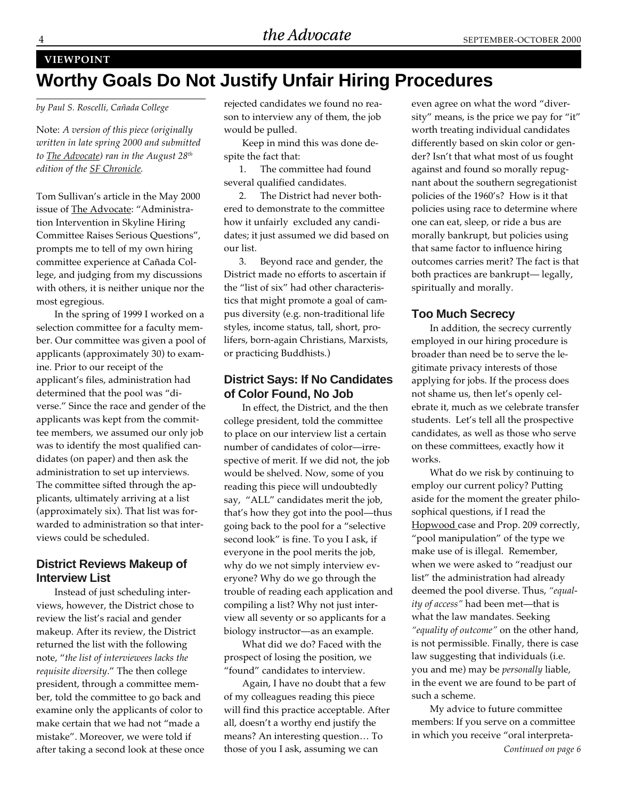#### **VIEWPOINT**

# **Worthy Goals Do Not Justify Unfair Hiring Procedures**

*by Paul S. Roscelli, Cañada College*

Note: *A version of this piece (originally written in late spring 2000 and submitted to The Advocate) ran in the August 28th edition of the SF Chronicle.*

Tom Sullivan's article in the May 2000 issue of The Advocate: "Administration Intervention in Skyline Hiring Committee Raises Serious Questions", prompts me to tell of my own hiring committee experience at Cañada College, and judging from my discussions with others, it is neither unique nor the most egregious.

In the spring of 1999 I worked on a selection committee for a faculty member. Our committee was given a pool of applicants (approximately 30) to examine. Prior to our receipt of the applicant's files, administration had determined that the pool was "diverse." Since the race and gender of the applicants was kept from the committee members, we assumed our only job was to identify the most qualified candidates (on paper) and then ask the administration to set up interviews. The committee sifted through the applicants, ultimately arriving at a list (approximately six). That list was forwarded to administration so that interviews could be scheduled.

#### **District Reviews Makeup of Interview List**

Instead of just scheduling interviews, however, the District chose to review the list's racial and gender makeup. After its review, the District returned the list with the following note, "*the list of interviewees lacks the requisite diversity*." The then college president, through a committee member, told the committee to go back and examine only the applicants of color to make certain that we had not "made a mistake". Moreover, we were told if after taking a second look at these once rejected candidates we found no reason to interview any of them, the job would be pulled.

Keep in mind this was done despite the fact that:

1. The committee had found several qualified candidates.

2. The District had never bothered to demonstrate to the committee how it unfairly excluded any candidates; it just assumed we did based on our list.

3. Beyond race and gender, the District made no efforts to ascertain if the "list of six" had other characteristics that might promote a goal of campus diversity (e.g. non-traditional life styles, income status, tall, short, prolifers, born-again Christians, Marxists, or practicing Buddhists.)

#### **District Says: If No Candidates of Color Found, No Job**

In effect, the District, and the then college president, told the committee to place on our interview list a certain number of candidates of color—irrespective of merit. If we did not, the job would be shelved. Now, some of you reading this piece will undoubtedly say, "ALL" candidates merit the job, that's how they got into the pool—thus going back to the pool for a "selective second look" is fine. To you I ask, if everyone in the pool merits the job, why do we not simply interview everyone? Why do we go through the trouble of reading each application and compiling a list? Why not just interview all seventy or so applicants for a biology instructor—as an example.

What did we do? Faced with the prospect of losing the position, we "found" candidates to interview.

Again, I have no doubt that a few of my colleagues reading this piece will find this practice acceptable. After all, doesn't a worthy end justify the means? An interesting question… To those of you I ask, assuming we can

even agree on what the word "diversity" means, is the price we pay for "it" worth treating individual candidates differently based on skin color or gender? Isn't that what most of us fought against and found so morally repugnant about the southern segregationist policies of the 1960's? How is it that policies using race to determine where one can eat, sleep, or ride a bus are morally bankrupt, but policies using that same factor to influence hiring outcomes carries merit? The fact is that both practices are bankrupt— legally, spiritually and morally.

### **Too Much Secrecy**

In addition, the secrecy currently employed in our hiring procedure is broader than need be to serve the legitimate privacy interests of those applying for jobs. If the process does not shame us, then let's openly celebrate it, much as we celebrate transfer students. Let's tell all the prospective candidates, as well as those who serve on these committees, exactly how it works.

What do we risk by continuing to employ our current policy? Putting aside for the moment the greater philosophical questions, if I read the Hopwood case and Prop. 209 correctly, "pool manipulation" of the type we make use of is illegal. Remember, when we were asked to "readjust our list" the administration had already deemed the pool diverse. Thus, *"equality of access"* had been met—that is what the law mandates. Seeking *"equality of outcome"* on the other hand, is not permissible. Finally, there is case law suggesting that individuals (i.e. you and me) may be *personally* liable, in the event we are found to be part of such a scheme.

My advice to future committee members: If you serve on a committee in which you receive "oral interpreta-*Continued on page 6*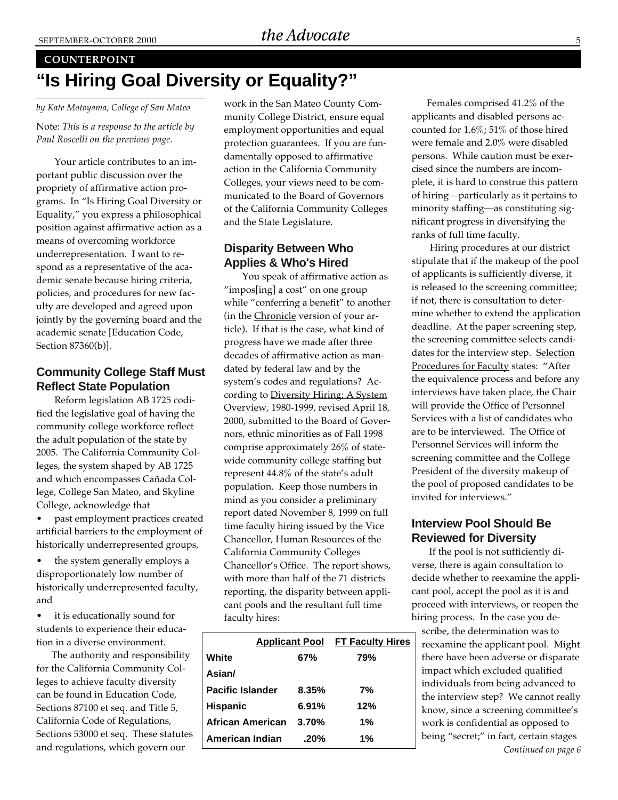#### **COUNTERPOINT**

# **"Is Hiring Goal Diversity or Equality?"**

*by Kate Motoyama, College of San Mateo* Note: *This is a response to the article by Paul Roscelli on the previous page.*

Your article contributes to an important public discussion over the propriety of affirmative action programs. In "Is Hiring Goal Diversity or Equality," you express a philosophical position against affirmative action as a means of overcoming workforce underrepresentation. I want to respond as a representative of the academic senate because hiring criteria, policies, and procedures for new faculty are developed and agreed upon jointly by the governing board and the academic senate [Education Code, Section 87360(b)].

### **Community College Staff Must Reflect State Population**

Reform legislation AB 1725 codified the legislative goal of having the community college workforce reflect the adult population of the state by 2005. The California Community Colleges, the system shaped by AB 1725 and which encompasses Cañada College, College San Mateo, and Skyline College, acknowledge that

• past employment practices created artificial barriers to the employment of historically underrepresented groups,

• the system generally employs a disproportionately low number of historically underrepresented faculty, and

• it is educationally sound for students to experience their education in a diverse environment.

The authority and responsibility for the California Community Colleges to achieve faculty diversity can be found in Education Code, Sections 87100 et seq. and Title 5, California Code of Regulations, Sections 53000 et seq. These statutes and regulations, which govern our

work in the San Mateo County Community College District, ensure equal employment opportunities and equal protection guarantees. If you are fundamentally opposed to affirmative action in the California Community Colleges, your views need to be communicated to the Board of Governors of the California Community Colleges and the State Legislature.

## **Disparity Between Who Applies & Who's Hired**

You speak of affirmative action as "impos[ing] a cost" on one group while "conferring a benefit" to another (in the Chronicle version of your article). If that is the case, what kind of progress have we made after three decades of affirmative action as mandated by federal law and by the system's codes and regulations? According to Diversity Hiring: A System Overview, 1980-1999, revised April 18, 2000, submitted to the Board of Governors, ethnic minorities as of Fall 1998 comprise approximately 26% of statewide community college staffing but represent 44.8% of the state's adult population. Keep those numbers in mind as you consider a preliminary report dated November 8, 1999 on full time faculty hiring issued by the Vice Chancellor, Human Resources of the California Community Colleges Chancellor's Office. The report shows, with more than half of the 71 districts reporting, the disparity between applicant pools and the resultant full time faculty hires:

|                                                                | <b>Applicant Pool</b> FT Faculty Hires |
|----------------------------------------------------------------|----------------------------------------|
| 67%                                                            | 79%                                    |
|                                                                |                                        |
| 8.35%                                                          | 7%                                     |
| 6.91%                                                          | 12%                                    |
| 3.70%                                                          | 1%                                     |
| $.20\%$                                                        | 1%                                     |
| <b>Pacific Islander</b><br>African American<br>American Indian |                                        |

Females comprised 41.2% of the applicants and disabled persons accounted for 1.6%; 51% of those hired were female and 2.0% were disabled persons. While caution must be exercised since the numbers are incomplete, it is hard to construe this pattern of hiring—particularly as it pertains to minority staffing—as constituting significant progress in diversifying the ranks of full time faculty.

Hiring procedures at our district stipulate that if the makeup of the pool of applicants is sufficiently diverse, it is released to the screening committee; if not, there is consultation to determine whether to extend the application deadline. At the paper screening step, the screening committee selects candidates for the interview step. Selection Procedures for Faculty states: "After the equivalence process and before any interviews have taken place, the Chair will provide the Office of Personnel Services with a list of candidates who are to be interviewed. The Office of Personnel Services will inform the screening committee and the College President of the diversity makeup of the pool of proposed candidates to be invited for interviews."

### **Interview Pool Should Be Reviewed for Diversity**

 If the pool is not sufficiently diverse, there is again consultation to decide whether to reexamine the applicant pool, accept the pool as it is and proceed with interviews, or reopen the hiring process. In the case you de-

scribe, the determination was to reexamine the applicant pool. Might there have been adverse or disparate impact which excluded qualified individuals from being advanced to the interview step? We cannot really know, since a screening committee's work is confidential as opposed to being "secret;" in fact, certain stages *Continued on page 6*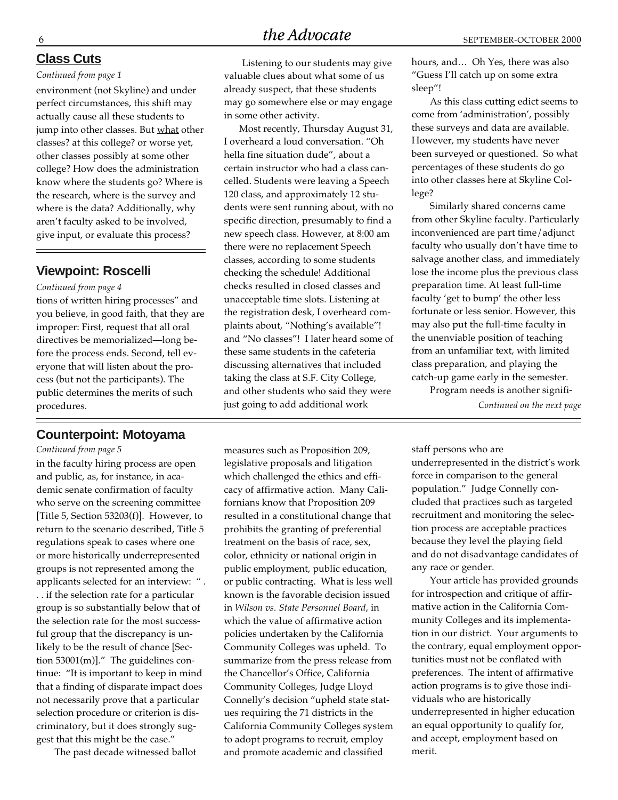#### **Class Cuts**

#### *Continued from page 1*

environment (not Skyline) and under perfect circumstances, this shift may actually cause all these students to jump into other classes. But what other classes? at this college? or worse yet, other classes possibly at some other college? How does the administration know where the students go? Where is the research, where is the survey and where is the data? Additionally, why aren't faculty asked to be involved, give input, or evaluate this process?

#### **Viewpoint: Roscelli**

#### *Continued from page 4*

tions of written hiring processes" and you believe, in good faith, that they are improper: First, request that all oral directives be memorialized—long before the process ends. Second, tell everyone that will listen about the process (but not the participants). The public determines the merits of such procedures.

#### **Counterpoint: Motoyama**

*Continued from page 5*

in the faculty hiring process are open and public, as, for instance, in academic senate confirmation of faculty who serve on the screening committee [Title 5, Section 53203(f)]. However, to return to the scenario described, Title 5 regulations speak to cases where one or more historically underrepresented groups is not represented among the applicants selected for an interview: " . . . if the selection rate for a particular group is so substantially below that of the selection rate for the most successful group that the discrepancy is unlikely to be the result of chance [Section 53001(m)]." The guidelines continue: "It is important to keep in mind that a finding of disparate impact does not necessarily prove that a particular selection procedure or criterion is discriminatory, but it does strongly suggest that this might be the case."

The past decade witnessed ballot

Listening to our students may give valuable clues about what some of us already suspect, that these students may go somewhere else or may engage in some other activity.

Most recently, Thursday August 31, I overheard a loud conversation. "Oh hella fine situation dude", about a certain instructor who had a class cancelled. Students were leaving a Speech 120 class, and approximately 12 students were sent running about, with no specific direction, presumably to find a new speech class. However, at 8:00 am there were no replacement Speech classes, according to some students checking the schedule! Additional checks resulted in closed classes and unacceptable time slots. Listening at the registration desk, I overheard complaints about, "Nothing's available"! and "No classes"! I later heard some of these same students in the cafeteria discussing alternatives that included taking the class at S.F. City College, and other students who said they were just going to add additional work

measures such as Proposition 209, legislative proposals and litigation which challenged the ethics and efficacy of affirmative action. Many Californians know that Proposition 209 resulted in a constitutional change that prohibits the granting of preferential treatment on the basis of race, sex, color, ethnicity or national origin in public employment, public education, or public contracting. What is less well known is the favorable decision issued in *Wilson vs. State Personnel Board*, in which the value of affirmative action policies undertaken by the California Community Colleges was upheld. To summarize from the press release from the Chancellor's Office, California Community Colleges, Judge Lloyd Connelly's decision "upheld state statues requiring the 71 districts in the California Community Colleges system to adopt programs to recruit, employ and promote academic and classified

hours, and… Oh Yes, there was also "Guess I'll catch up on some extra sleep"!

As this class cutting edict seems to come from 'administration', possibly these surveys and data are available. However, my students have never been surveyed or questioned. So what percentages of these students do go into other classes here at Skyline College?

Similarly shared concerns came from other Skyline faculty. Particularly inconvenienced are part time/adjunct faculty who usually don't have time to salvage another class, and immediately lose the income plus the previous class preparation time. At least full-time faculty 'get to bump' the other less fortunate or less senior. However, this may also put the full-time faculty in the unenviable position of teaching from an unfamiliar text, with limited class preparation, and playing the catch-up game early in the semester.

Program needs is another signifi-*Continued on the next page*

staff persons who are

underrepresented in the district's work force in comparison to the general population." Judge Connelly concluded that practices such as targeted recruitment and monitoring the selection process are acceptable practices because they level the playing field and do not disadvantage candidates of any race or gender.

Your article has provided grounds for introspection and critique of affirmative action in the California Community Colleges and its implementation in our district. Your arguments to the contrary, equal employment opportunities must not be conflated with preferences. The intent of affirmative action programs is to give those individuals who are historically underrepresented in higher education an equal opportunity to qualify for, and accept, employment based on merit.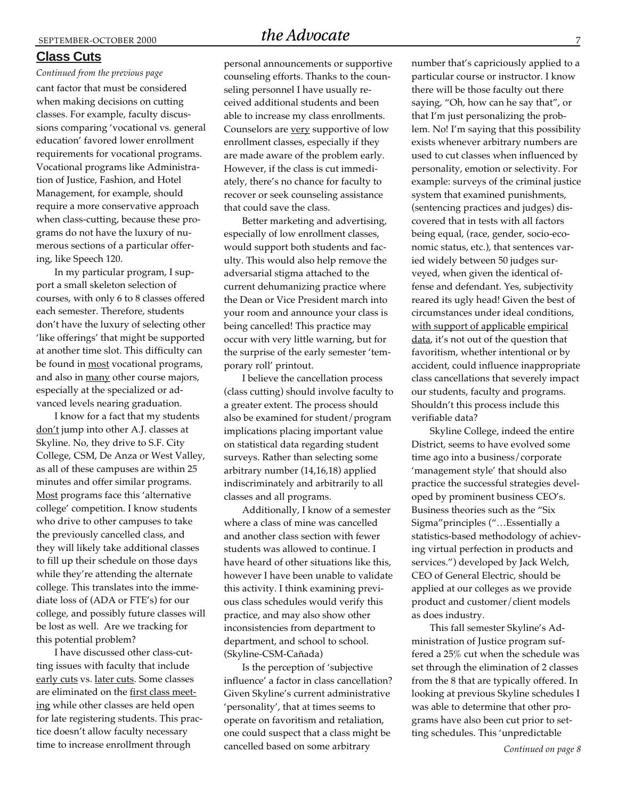#### **Class Cuts**

cant factor that must be considered when making decisions on cutting classes. For example, faculty discussions comparing 'vocational vs. general education' favored lower enrollment requirements for vocational programs. Vocational programs like Administration of Justice, Fashion, and Hotel Management, for example, should require a more conservative approach when class-cutting, because these programs do not have the luxury of numerous sections of a particular offering, like Speech 120. *Continued from the previous page*

In my particular program, I support a small skeleton selection of courses, with only 6 to 8 classes offered each semester. Therefore, students don't have the luxury of selecting other 'like offerings' that might be supported at another time slot. This difficulty can be found in most vocational programs, and also in many other course majors, especially at the specialized or advanced levels nearing graduation.

I know for a fact that my students don't jump into other A.J. classes at Skyline. No, they drive to S.F. City College, CSM, De Anza or West Valley, as all of these campuses are within 25 minutes and offer similar programs. Most programs face this 'alternative college' competition. I know students who drive to other campuses to take the previously cancelled class, and they will likely take additional classes to fill up their schedule on those days while they're attending the alternate college. This translates into the immediate loss of (ADA or FTE's) for our college, and possibly future classes will be lost as well. Are we tracking for this potential problem?

I have discussed other class-cutting issues with faculty that include early cuts vs. later cuts. Some classes are eliminated on the first class meeting while other classes are held open for late registering students. This practice doesn't allow faculty necessary time to increase enrollment through

personal announcements or supportive counseling efforts. Thanks to the counseling personnel I have usually received additional students and been able to increase my class enrollments. Counselors are very supportive of low enrollment classes, especially if they are made aware of the problem early. However, if the class is cut immediately, there's no chance for faculty to recover or seek counseling assistance that could save the class.

Better marketing and advertising, especially of low enrollment classes, would support both students and faculty. This would also help remove the adversarial stigma attached to the current dehumanizing practice where the Dean or Vice President march into your room and announce your class is being cancelled! This practice may occur with very little warning, but for the surprise of the early semester 'temporary roll' printout.

I believe the cancellation process (class cutting) should involve faculty to a greater extent. The process should also be examined for student/program implications placing important value on statistical data regarding student surveys. Rather than selecting some arbitrary number (14,16,18) applied indiscriminately and arbitrarily to all classes and all programs.

Additionally, I know of a semester where a class of mine was cancelled and another class section with fewer students was allowed to continue. I have heard of other situations like this, however I have been unable to validate this activity. I think examining previous class schedules would verify this practice, and may also show other inconsistencies from department to department, and school to school. (Skyline-CSM-Cañada)

Is the perception of 'subjective influence' a factor in class cancellation? Given Skyline's current administrative 'personality', that at times seems to operate on favoritism and retaliation, one could suspect that a class might be cancelled based on some arbitrary

number that's capriciously applied to a particular course or instructor. I know there will be those faculty out there saying, "Oh, how can he say that", or that I'm just personalizing the problem. No! I'm saying that this possibility exists whenever arbitrary numbers are used to cut classes when influenced by personality, emotion or selectivity. For example: surveys of the criminal justice system that examined punishments, (sentencing practices and judges) discovered that in tests with all factors being equal, (race, gender, socio-economic status, etc.), that sentences varied widely between 50 judges surveyed, when given the identical offense and defendant. Yes, subjectivity reared its ugly head! Given the best of circumstances under ideal conditions, with support of applicable empirical data, it's not out of the question that favoritism, whether intentional or by accident, could influence inappropriate class cancellations that severely impact our students, faculty and programs. Shouldn't this process include this verifiable data?

Skyline College, indeed the entire District, seems to have evolved some time ago into a business/corporate 'management style' that should also practice the successful strategies developed by prominent business CEO's. Business theories such as the "Six Sigma"principles ("…Essentially a statistics-based methodology of achieving virtual perfection in products and services.") developed by Jack Welch, CEO of General Electric, should be applied at our colleges as we provide product and customer/client models as does industry.

This fall semester Skyline's Administration of Justice program suffered a 25% cut when the schedule was set through the elimination of 2 classes from the 8 that are typically offered. In looking at previous Skyline schedules I was able to determine that other programs have also been cut prior to setting schedules. This 'unpredictable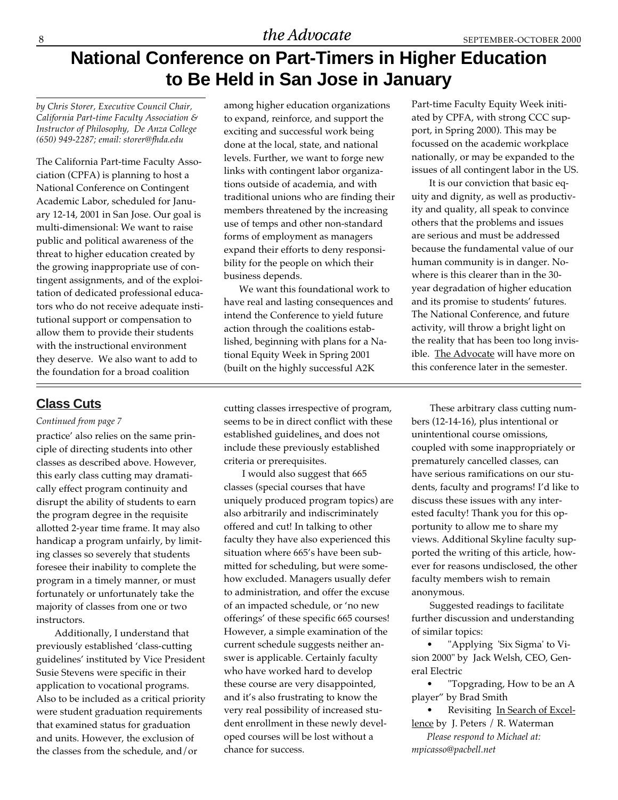# **National Conference on Part-Timers in Higher Education to Be Held in San Jose in January**

*by Chris Storer, Executive Council Chair, California Part-time Faculty Association & Instructor of Philosophy, De Anza College (650) 949-2287; email: storer@fhda.edu*

The California Part-time Faculty Association (CPFA) is planning to host a National Conference on Contingent Academic Labor, scheduled for January 12-14, 2001 in San Jose. Our goal is multi-dimensional: We want to raise public and political awareness of the threat to higher education created by the growing inappropriate use of contingent assignments, and of the exploitation of dedicated professional educators who do not receive adequate institutional support or compensation to allow them to provide their students with the instructional environment they deserve. We also want to add to the foundation for a broad coalition

## **Class Cuts**

#### *Continued from page 7*

practice' also relies on the same principle of directing students into other classes as described above. However, this early class cutting may dramatically effect program continuity and disrupt the ability of students to earn the program degree in the requisite allotted 2-year time frame. It may also handicap a program unfairly, by limiting classes so severely that students foresee their inability to complete the program in a timely manner, or must fortunately or unfortunately take the majority of classes from one or two instructors.

Additionally, I understand that previously established 'class-cutting guidelines' instituted by Vice President Susie Stevens were specific in their application to vocational programs. Also to be included as a critical priority were student graduation requirements that examined status for graduation and units. However, the exclusion of the classes from the schedule, and/or

among higher education organizations to expand, reinforce, and support the exciting and successful work being done at the local, state, and national levels. Further, we want to forge new links with contingent labor organizations outside of academia, and with traditional unions who are finding their members threatened by the increasing use of temps and other non-standard forms of employment as managers expand their efforts to deny responsibility for the people on which their business depends.

We want this foundational work to have real and lasting consequences and intend the Conference to yield future action through the coalitions established, beginning with plans for a National Equity Week in Spring 2001 (built on the highly successful A2K

cutting classes irrespective of program, seems to be in direct conflict with these established guidelines, and does not include these previously established criteria or prerequisites.

I would also suggest that 665 classes (special courses that have uniquely produced program topics) are also arbitrarily and indiscriminately offered and cut! In talking to other faculty they have also experienced this situation where 665's have been submitted for scheduling, but were somehow excluded. Managers usually defer to administration, and offer the excuse of an impacted schedule, or 'no new offerings' of these specific 665 courses! However, a simple examination of the current schedule suggests neither answer is applicable. Certainly faculty who have worked hard to develop these course are very disappointed, and it's also frustrating to know the very real possibility of increased student enrollment in these newly developed courses will be lost without a chance for success.

Part-time Faculty Equity Week initiated by CPFA, with strong CCC support, in Spring 2000). This may be focussed on the academic workplace nationally, or may be expanded to the issues of all contingent labor in the US.

 It is our conviction that basic equity and dignity, as well as productivity and quality, all speak to convince others that the problems and issues are serious and must be addressed because the fundamental value of our human community is in danger. Nowhere is this clearer than in the 30 year degradation of higher education and its promise to students' futures. The National Conference, and future activity, will throw a bright light on the reality that has been too long invisible. The Advocate will have more on this conference later in the semester.

These arbitrary class cutting numbers (12-14-16), plus intentional or unintentional course omissions, coupled with some inappropriately or prematurely cancelled classes, can have serious ramifications on our students, faculty and programs! I'd like to discuss these issues with any interested faculty! Thank you for this opportunity to allow me to share my views. Additional Skyline faculty supported the writing of this article, however for reasons undisclosed, the other faculty members wish to remain anonymous.

Suggested readings to facilitate further discussion and understanding of similar topics:

"Applying 'Six Sigma' to Vision 2000" by Jack Welsh, CEO, General Electric

• "Topgrading, How to be an A player" by Brad Smith

Revisiting In Search of Excellence by J. Peters / R. Waterman

*Please respond to Michael at: mpicasso@pacbell.net*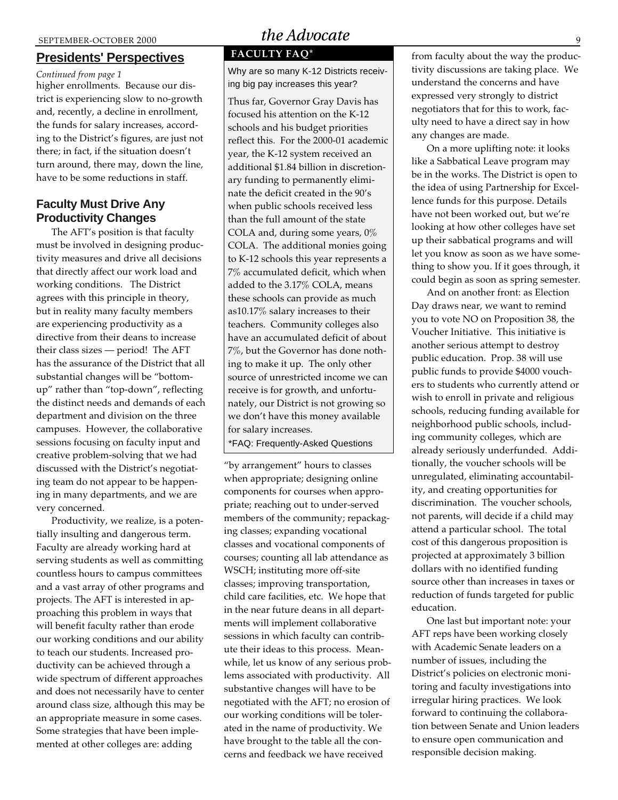### **Presidents' Perspectives**

higher enrollments. Because our district is experiencing slow to no-growth and, recently, a decline in enrollment, the funds for salary increases, according to the District's figures, are just not there; in fact, if the situation doesn't turn around, there may, down the line, have to be some reductions in staff.

### **Faculty Must Drive Any Productivity Changes**

The AFT's position is that faculty must be involved in designing productivity measures and drive all decisions that directly affect our work load and working conditions. The District agrees with this principle in theory, but in reality many faculty members are experiencing productivity as a directive from their deans to increase their class sizes — period! The AFT has the assurance of the District that all substantial changes will be "bottomup" rather than "top-down", reflecting the distinct needs and demands of each department and division on the three campuses. However, the collaborative sessions focusing on faculty input and creative problem-solving that we had discussed with the District's negotiating team do not appear to be happening in many departments, and we are very concerned.

Productivity, we realize, is a potentially insulting and dangerous term. Faculty are already working hard at serving students as well as committing countless hours to campus committees and a vast array of other programs and projects. The AFT is interested in approaching this problem in ways that will benefit faculty rather than erode our working conditions and our ability to teach our students. Increased productivity can be achieved through a wide spectrum of different approaches and does not necessarily have to center around class size, although this may be an appropriate measure in some cases. Some strategies that have been implemented at other colleges are: adding

## SEPTEMBER-OCTOBER 2000 the Advocate

## **FACULTY FAQ\***

*Continued from page 1* Why are so many K-12 Districts receiving big pay increases this year?

> Thus far, Governor Gray Davis has focused his attention on the K-12 schools and his budget priorities reflect this. For the 2000-01 academic year, the K-12 system received an additional \$1.84 billion in discretionary funding to permanently eliminate the deficit created in the 90's when public schools received less than the full amount of the state COLA and, during some years,  $0\%$ COLA. The additional monies going to K-12 schools this year represents a 7% accumulated deficit, which when added to the 3.17% COLA, means these schools can provide as much as10.17% salary increases to their teachers. Community colleges also have an accumulated deficit of about 7%, but the Governor has done nothing to make it up. The only other source of unrestricted income we can receive is for growth, and unfortunately, our District is not growing so we don't have this money available for salary increases.

\*FAQ: Frequently-Asked Questions

"by arrangement" hours to classes when appropriate; designing online components for courses when appropriate; reaching out to under-served members of the community; repackaging classes; expanding vocational classes and vocational components of courses; counting all lab attendance as WSCH; instituting more off-site classes; improving transportation, child care facilities, etc. We hope that in the near future deans in all departments will implement collaborative sessions in which faculty can contribute their ideas to this process. Meanwhile, let us know of any serious problems associated with productivity. All substantive changes will have to be negotiated with the AFT; no erosion of our working conditions will be tolerated in the name of productivity. We have brought to the table all the concerns and feedback we have received

from faculty about the way the productivity discussions are taking place. We understand the concerns and have expressed very strongly to district negotiators that for this to work, faculty need to have a direct say in how any changes are made.

On a more uplifting note: it looks like a Sabbatical Leave program may be in the works. The District is open to the idea of using Partnership for Excellence funds for this purpose. Details have not been worked out, but we're looking at how other colleges have set up their sabbatical programs and will let you know as soon as we have something to show you. If it goes through, it could begin as soon as spring semester.

And on another front: as Election Day draws near, we want to remind you to vote NO on Proposition 38, the Voucher Initiative. This initiative is another serious attempt to destroy public education. Prop. 38 will use public funds to provide \$4000 vouchers to students who currently attend or wish to enroll in private and religious schools, reducing funding available for neighborhood public schools, including community colleges, which are already seriously underfunded. Additionally, the voucher schools will be unregulated, eliminating accountability, and creating opportunities for discrimination. The voucher schools, not parents, will decide if a child may attend a particular school. The total cost of this dangerous proposition is projected at approximately 3 billion dollars with no identified funding source other than increases in taxes or reduction of funds targeted for public education.

One last but important note: your AFT reps have been working closely with Academic Senate leaders on a number of issues, including the District's policies on electronic monitoring and faculty investigations into irregular hiring practices. We look forward to continuing the collaboration between Senate and Union leaders to ensure open communication and responsible decision making.